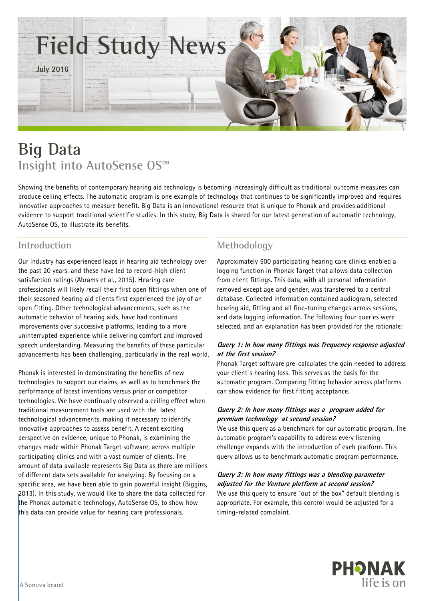

# **Big Data Insight into AutoSense OS™**

Showing the benefits of contemporary hearing aid technology is becoming increasingly difficult as traditional outcome measures can produce ceiling effects. The automatic program is one example of technology that continues to be significantly improved and requires innovative approaches to measure benefit. Big Data is an innovational resource that is unique to Phonak and provides additional evidence to support traditional scientific studies. In this study, Big Data is shared for our latest generation of automatic technology, AutoSense OS, to illustrate its benefits.

# **Introduction**

Our industry has experienced leaps in hearing aid technology over the past 20 years, and these have led to record-high client satisfaction ratings (Abrams et al., 2015). Hearing care professionals will likely recall their first open fittings when one of their seasoned hearing aid clients first experienced the joy of an open fitting. Other technological advancements, such as the automatic behavior of hearing aids, have had continued improvements over successive platforms, leading to a more uninterrupted experience while delivering comfort and improved speech understanding. Measuring the benefits of these particular advancements has been challenging, particularly in the real world.

Phonak is interested in demonstrating the benefits of new technologies to support our claims, as well as to benchmark the performance of latest inventions versus prior or competitor technologies. We have continually observed a ceiling effect when traditional measurement tools are used with the latest technological advancements, making it necessary to identify innovative approaches to assess benefit. A recent exciting perspective on evidence, unique to Phonak, is examining the changes made within Phonak Target software, across multiple participating clinics and with a vast number of clients. The amount of data available represents Big Data as there are millions of different data sets available for analyzing. By focusing on a specific area, we have been able to gain powerful insight (Biggins, 2013). In this study, we would like to share the data collected for the Phonak automatic technology, AutoSense OS, to show how this data can provide value for hearing care professionals.

# **Methodology**

Approximately 500 participating hearing care clinics enabled a logging function in Phonak Target that allows data collection from client fittings. This data, with all personal information removed except age and gender, was transferred to a central database. Collected information contained audiogram, selected hearing aid, fitting and all fine-tuning changes across sessions, and data logging information. The following four queries were selected, and an explanation has been provided for the rationale:

## **Query 1: In how many fittings was frequency response adjusted at the first session?**

Phonak Target software pre-calculates the gain needed to address your client`s hearing loss. This serves as the basis for the automatic program. Comparing fitting behavior across platforms can show evidence for first fitting acceptance.

## **Query 2: In how many fittings was a program added for premium technology at second session?**

We use this query as a benchmark for our automatic program. The automatic program's capability to address every listening challenge expands with the introduction of each platform. This query allows us to benchmark automatic program performance.

#### **Query 3: In how many fittings was <sup>a</sup> blending parameter adjusted for the Venture platform at second session?**

We use this query to ensure "out of the box" default blending is appropriate. For example, this control would be adjusted for a timing-related complaint.

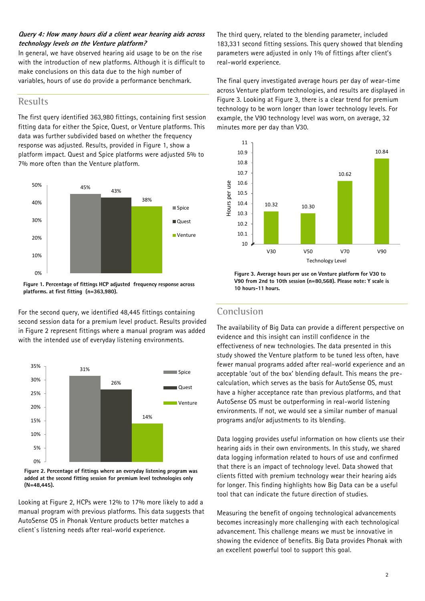### **Query 4: How many hours did a client wear hearing aids across technology levels on the Venture platform?**

In general, we have observed hearing aid usage to be on the rise with the introduction of new platforms. Although it is difficult to make conclusions on this data due to the high number of variables, hours of use do provide a performance benchmark.

## **Results**

The first query identified 363,980 fittings, containing first session fitting data for either the Spice, Quest, or Venture platforms. This data was further subdivided based on whether the frequency response was adjusted. Results, provided in Figure 1, show a platform impact. Quest and Spice platforms were adjusted 5% to 7% more often than the Venture platform.



**Figure 1. Percentage of fittings HCP adjusted frequency response across platforms. at first fitting (n=363,980).**

For the second query, we identified 48,445 fittings containing second session data for a premium level product. Results provided in Figure 2 represent fittings where a manual program was added with the intended use of everyday listening environments.



**Figure 2. Percentage of fittings where an everyday listening program was added at the second fitting session for premium level technologies only (N=48,445).**

Looking at Figure 2, HCPs were 12% to 17% more likely to add a manual program with previous platforms. This data suggests that AutoSense OS in Phonak Venture products better matches a client`s listening needs after real-world experience.

The third query, related to the blending parameter, included 183,331 second fitting sessions. This query showed that blending parameters were adjusted in only 1% of fittings after client's real-world experience.

The final query investigated average hours per day of wear-time across Venture platform technologies, and results are displayed in Figure 3. Looking at Figure 3, there is a clear trend for premium technology to be worn longer than lower technology levels. For example, the V90 technology level was worn, on average, 32 minutes more per day than V30.



**Figure 3. Average hours per use on Venture platform for V30 to V90 from 2nd to 10th session (n=80,568). Please note: Y scale is 10 hours-11 hours.**

# **Conclusion**

The availability of Big Data can provide a different perspective on evidence and this insight can instill confidence in the effectiveness of new technologies. The data presented in this study showed the Venture platform to be tuned less often, have fewer manual programs added after real-world experience and an acceptable 'out of the box' blending default. This means the precalculation, which serves as the basis for AutoSense OS, must have a higher acceptance rate than previous platforms, and that AutoSense OS must be outperforming in real-world listening environments. If not, we would see a similar number of manual programs and/or adjustments to its blending.

Data logging provides useful information on how clients use their hearing aids in their own environments. In this study, we shared data logging information related to hours of use and confirmed that there is an impact of technology level. Data showed that clients fitted with premium technology wear their hearing aids for longer. This finding highlights how Big Data can be a useful tool that can indicate the future direction of studies.

Measuring the benefit of ongoing technological advancements becomes increasingly more challenging with each technological advancement. This challenge means we must be innovative in showing the evidence of benefits. Big Data provides Phonak with an excellent powerful tool to support this goal.